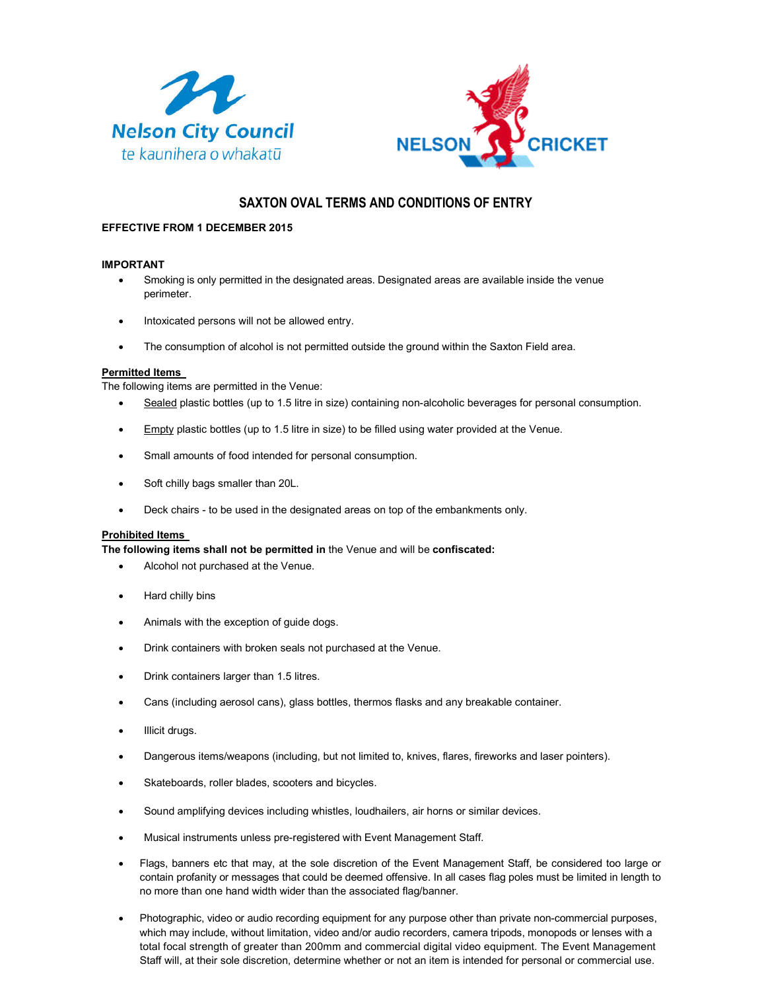



# **SAXTON OVAL TERMS AND CONDITIONS OF ENTRY**

# **EFFECTIVE FROM 1 DECEMBER 2015**

# **IMPORTANT**

- Smoking is only permitted in the designated areas. Designated areas are available inside the venue perimeter.
- Intoxicated persons will not be allowed entry.
- The consumption of alcohol is not permitted outside the ground within the Saxton Field area.

## **Permitted Items**

The following items are permitted in the Venue:

- Sealed plastic bottles (up to 1.5 litre in size) containing non-alcoholic beverages for personal consumption.
- Empty plastic bottles (up to 1.5 litre in size) to be filled using water provided at the Venue.
- Small amounts of food intended for personal consumption.
- Soft chilly bags smaller than 20L.
- Deck chairs to be used in the designated areas on top of the embankments only.

#### **Prohibited Items**

**The following items shall not be permitted in** the Venue and will be **confiscated:**

- Alcohol not purchased at the Venue.
- Hard chilly bins
- Animals with the exception of guide dogs.
- Drink containers with broken seals not purchased at the Venue.
- Drink containers larger than 1.5 litres.
- Cans (including aerosol cans), glass bottles, thermos flasks and any breakable container.
- Illicit drugs.
- Dangerous items/weapons (including, but not limited to, knives, flares, fireworks and laser pointers).
- Skateboards, roller blades, scooters and bicycles.
- Sound amplifying devices including whistles, loudhailers, air horns or similar devices.
- Musical instruments unless pre-registered with Event Management Staff.
- Flags, banners etc that may, at the sole discretion of the Event Management Staff, be considered too large or contain profanity or messages that could be deemed offensive. In all cases flag poles must be limited in length to no more than one hand width wider than the associated flag/banner.
- Photographic, video or audio recording equipment for any purpose other than private non-commercial purposes, which may include, without limitation, video and/or audio recorders, camera tripods, monopods or lenses with a total focal strength of greater than 200mm and commercial digital video equipment. The Event Management Staff will, at their sole discretion, determine whether or not an item is intended for personal or commercial use.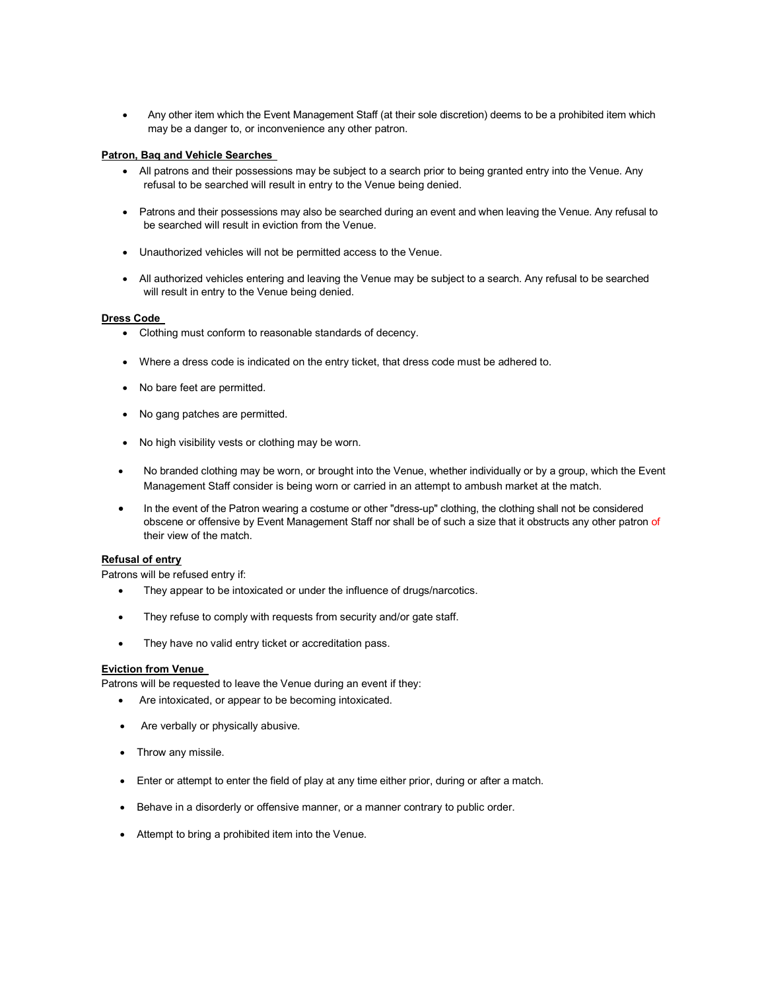Any other item which the Event Management Staff (at their sole discretion) deems to be a prohibited item which may be a danger to, or inconvenience any other patron.

## **Patron, Baq and Vehicle Searches**

- All patrons and their possessions may be subject to a search prior to being granted entry into the Venue. Any refusal to be searched will result in entry to the Venue being denied.
- Patrons and their possessions may also be searched during an event and when leaving the Venue. Any refusal to be searched will result in eviction from the Venue.
- Unauthorized vehicles will not be permitted access to the Venue.
- All authorized vehicles entering and leaving the Venue may be subject to a search. Any refusal to be searched will result in entry to the Venue being denied.

#### **Dress Code**

- Clothing must conform to reasonable standards of decency.
- Where a dress code is indicated on the entry ticket, that dress code must be adhered to.
- No bare feet are permitted.
- No gang patches are permitted.
- No high visibility vests or clothing may be worn.
- No branded clothing may be worn, or brought into the Venue, whether individually or by a group, which the Event Management Staff consider is being worn or carried in an attempt to ambush market at the match.
- In the event of the Patron wearing a costume or other "dress-up" clothing, the clothing shall not be considered obscene or offensive by Event Management Staff nor shall be of such a size that it obstructs any other patron of their view of the match.

## **Refusal of entry**

Patrons will be refused entry if:

- They appear to be intoxicated or under the influence of drugs/narcotics.
- They refuse to comply with requests from security and/or gate staff.
- They have no valid entry ticket or accreditation pass.

#### **Eviction from Venue**

Patrons will be requested to leave the Venue during an event if they:

- Are intoxicated, or appear to be becoming intoxicated.
- Are verbally or physically abusive.
- Throw any missile.
- Enter or attempt to enter the field of play at any time either prior, during or after a match.
- Behave in a disorderly or offensive manner, or a manner contrary to public order.
- Attempt to bring a prohibited item into the Venue.